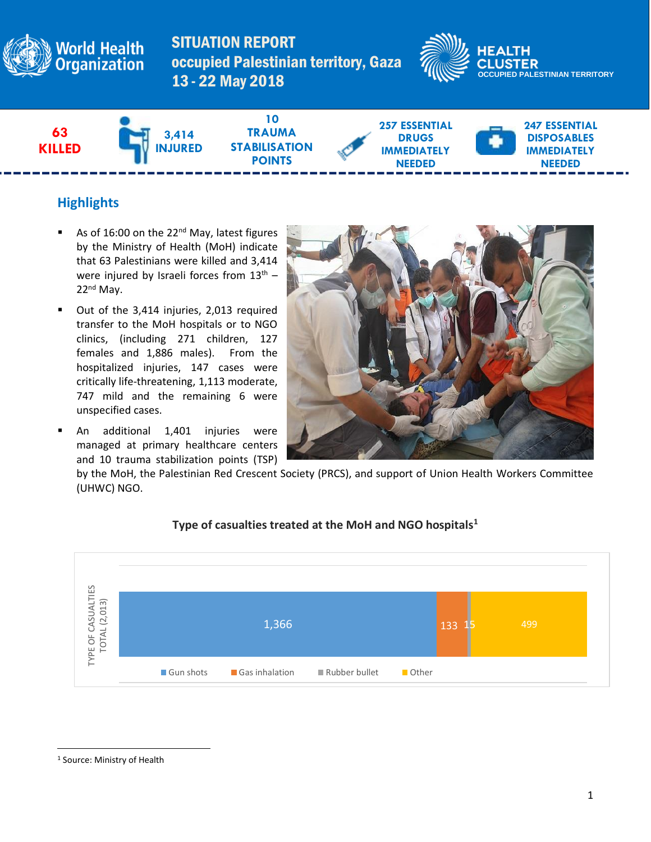

SITUATION REPORT occupied Palestinian territory, Gaza 13 - 22 May 2018





# **Highlights**

- As of 16:00 on the 22<sup>nd</sup> May, latest figures by the Ministry of Health (MoH) indicate that 63 Palestinians were killed and 3,414 were injured by Israeli forces from 13<sup>th</sup> -22nd May.
- Out of the 3,414 injuries, 2,013 required transfer to the MoH hospitals or to NGO clinics, (including 271 children, 127 females and 1,886 males). From the hospitalized injuries, 147 cases were critically life-threatening, 1,113 moderate, 747 mild and the remaining 6 were unspecified cases.
- An additional 1,401 injuries were managed at primary healthcare centers and 10 trauma stabilization points (TSP)



by the MoH, the Palestinian Red Crescent Society (PRCS), and support of Union Health Workers Committee (UHWC) NGO.



#### **Type of casualties treated at the MoH and NGO hospitals<sup>1</sup>**

 $\overline{a}$ 

<sup>1</sup> Source: Ministry of Health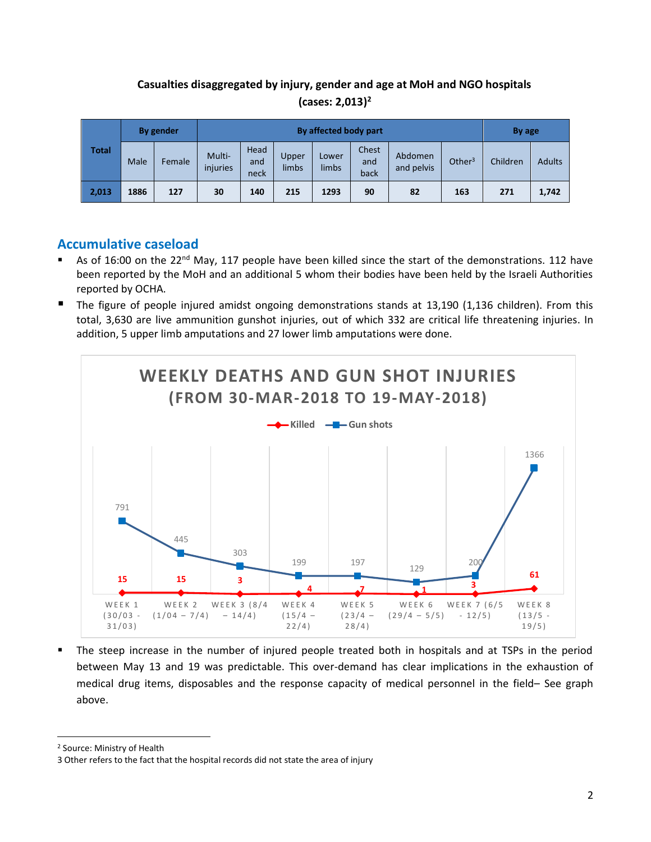## **Casualties disaggregated by injury, gender and age at MoH and NGO hospitals (cases: 2,013) 2**

| <b>Total</b> | By gender |        | By affected body part |                     |                |                |                      |                       |           | By age   |               |
|--------------|-----------|--------|-----------------------|---------------------|----------------|----------------|----------------------|-----------------------|-----------|----------|---------------|
|              | Male      | Female | Multi-<br>injuries    | Head<br>and<br>neck | Upper<br>limbs | Lower<br>limbs | Chest<br>and<br>back | Abdomen<br>and pelvis | Other $3$ | Children | <b>Adults</b> |
| 2,013        | 1886      | 127    | 30                    | 140                 | 215            | 1293           | 90                   | 82                    | 163       | 271      | 1,742         |

## **Accumulative caseload**

- As of 16:00 on the  $22^{nd}$  May, 117 people have been killed since the start of the demonstrations. 112 have been reported by the MoH and an additional 5 whom their bodies have been held by the Israeli Authorities reported by OCHA.
- The figure of people injured amidst ongoing demonstrations stands at 13,190 (1,136 children). From this total, 3,630 are live ammunition gunshot injuries, out of which 332 are critical life threatening injuries. In addition, 5 upper limb amputations and 27 lower limb amputations were done.



The steep increase in the number of injured people treated both in hospitals and at TSPs in the period between May 13 and 19 was predictable. This over-demand has clear implications in the exhaustion of medical drug items, disposables and the response capacity of medical personnel in the field– See graph above.

 $\overline{a}$ 

<sup>2</sup> Source: Ministry of Health

<sup>3</sup> Other refers to the fact that the hospital records did not state the area of injury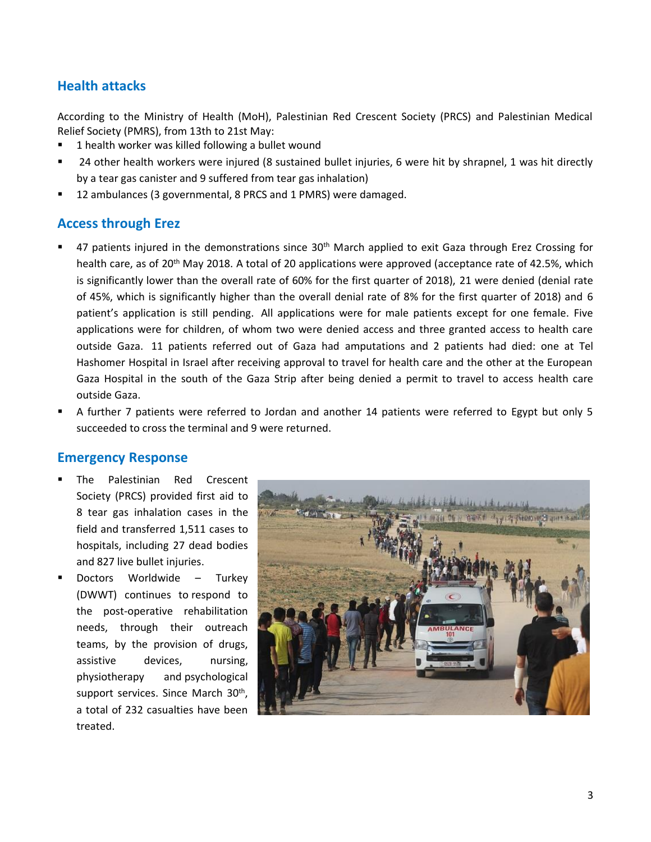## **Health attacks**

According to the Ministry of Health (MoH), Palestinian Red Crescent Society (PRCS) and Palestinian Medical Relief Society (PMRS), from 13th to 21st May:

- 1 health worker was killed following a bullet wound
- 24 other health workers were injured (8 sustained bullet injuries, 6 were hit by shrapnel, 1 was hit directly by a tear gas canister and 9 suffered from tear gas inhalation)
- 12 ambulances (3 governmental, 8 PRCS and 1 PMRS) were damaged.

### **Access through Erez**

- 47 patients injured in the demonstrations since 30<sup>th</sup> March applied to exit Gaza through Erez Crossing for health care, as of 20<sup>th</sup> May 2018. A total of 20 applications were approved (acceptance rate of 42.5%, which is significantly lower than the overall rate of 60% for the first quarter of 2018), 21 were denied (denial rate of 45%, which is significantly higher than the overall denial rate of 8% for the first quarter of 2018) and 6 patient's application is still pending. All applications were for male patients except for one female. Five applications were for children, of whom two were denied access and three granted access to health care outside Gaza. 11 patients referred out of Gaza had amputations and 2 patients had died: one at Tel Hashomer Hospital in Israel after receiving approval to travel for health care and the other at the European Gaza Hospital in the south of the Gaza Strip after being denied a permit to travel to access health care outside Gaza.
- A further 7 patients were referred to Jordan and another 14 patients were referred to Egypt but only 5 succeeded to cross the terminal and 9 were returned.

#### **Emergency Response**

- The Palestinian Red Crescent Society (PRCS) provided first aid to 8 tear gas inhalation cases in the field and transferred 1,511 cases to hospitals, including 27 dead bodies and 827 live bullet injuries.
- Doctors Worldwide Turkey (DWWT) continues to respond to the post-operative rehabilitation needs, through their outreach teams, by the provision of drugs, assistive devices, nursing, physiotherapy and psychological support services. Since March 30<sup>th</sup>, a total of 232 casualties have been treated.

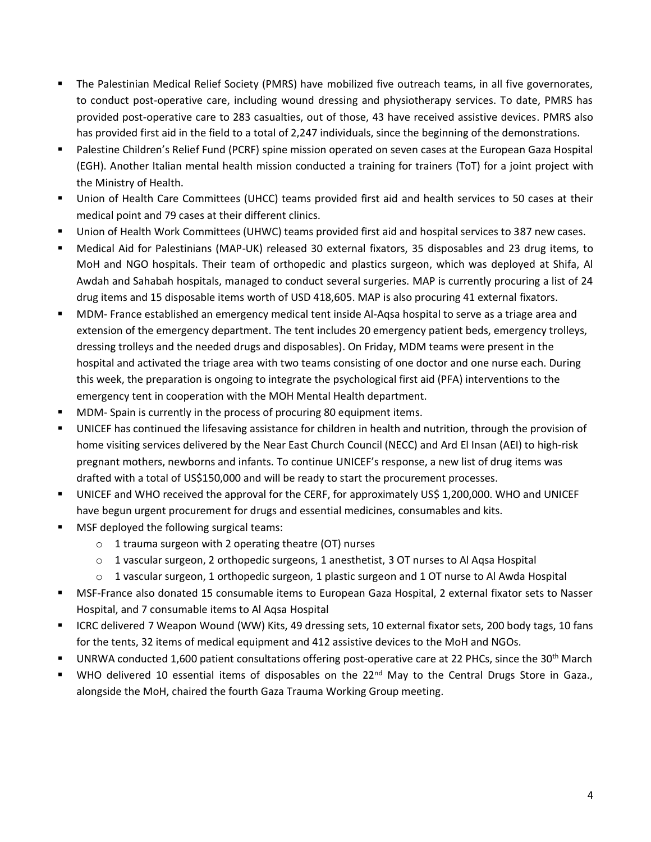- The Palestinian Medical Relief Society (PMRS) have mobilized five outreach teams, in all five governorates, to conduct post-operative care, including wound dressing and physiotherapy services. To date, PMRS has provided post-operative care to 283 casualties, out of those, 43 have received assistive devices. PMRS also has provided first aid in the field to a total of 2,247 individuals, since the beginning of the demonstrations.
- Palestine Children's Relief Fund (PCRF) spine mission operated on seven cases at the European Gaza Hospital (EGH). Another Italian mental health mission conducted a training for trainers (ToT) for a joint project with the Ministry of Health.
- Union of Health Care Committees (UHCC) teams provided first aid and health services to 50 cases at their medical point and 79 cases at their different clinics.
- Union of Health Work Committees (UHWC) teams provided first aid and hospital services to 387 new cases.
- Medical Aid for Palestinians (MAP-UK) released 30 external fixators, 35 disposables and 23 drug items, to MoH and NGO hospitals. Their team of orthopedic and plastics surgeon, which was deployed at Shifa, Al Awdah and Sahabah hospitals, managed to conduct several surgeries. MAP is currently procuring a list of 24 drug items and 15 disposable items worth of USD 418,605. MAP is also procuring 41 external fixators.
- MDM- France established an emergency medical tent inside Al-Aqsa hospital to serve as a triage area and extension of the emergency department. The tent includes 20 emergency patient beds, emergency trolleys, dressing trolleys and the needed drugs and disposables). On Friday, MDM teams were present in the hospital and activated the triage area with two teams consisting of one doctor and one nurse each. During this week, the preparation is ongoing to integrate the psychological first aid (PFA) interventions to the emergency tent in cooperation with the MOH Mental Health department.
- MDM- Spain is currently in the process of procuring 80 equipment items.
- UNICEF has continued the lifesaving assistance for children in health and nutrition, through the provision of home visiting services delivered by the Near East Church Council (NECC) and Ard El Insan (AEI) to high-risk pregnant mothers, newborns and infants. To continue UNICEF's response, a new list of drug items was drafted with a total of US\$150,000 and will be ready to start the procurement processes.
- UNICEF and WHO received the approval for the CERF, for approximately US\$ 1,200,000. WHO and UNICEF have begun urgent procurement for drugs and essential medicines, consumables and kits.
- MSF deployed the following surgical teams:
	- o 1 trauma surgeon with 2 operating theatre (OT) nurses
	- o 1 vascular surgeon, 2 orthopedic surgeons, 1 anesthetist, 3 OT nurses to Al Aqsa Hospital
	- $\circ$  1 vascular surgeon, 1 orthopedic surgeon, 1 plastic surgeon and 1 OT nurse to Al Awda Hospital
- MSF-France also donated 15 consumable items to European Gaza Hospital, 2 external fixator sets to Nasser Hospital, and 7 consumable items to Al Aqsa Hospital
- ICRC delivered 7 Weapon Wound (WW) Kits, 49 dressing sets, 10 external fixator sets, 200 body tags, 10 fans for the tents, 32 items of medical equipment and 412 assistive devices to the MoH and NGOs.
- UNRWA conducted 1,600 patient consultations offering post-operative care at 22 PHCs, since the 30<sup>th</sup> March
- WHO delivered 10 essential items of disposables on the 22<sup>nd</sup> May to the Central Drugs Store in Gaza., alongside the MoH, chaired the fourth Gaza Trauma Working Group meeting.